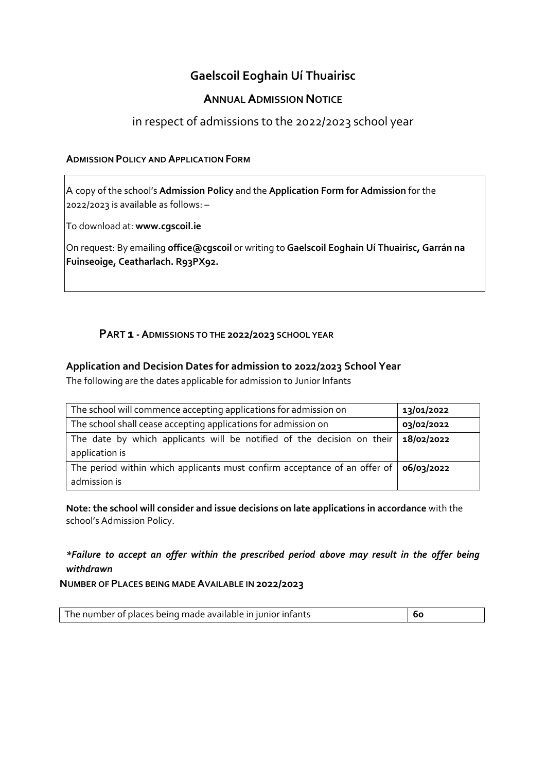# **Gaelscoil Eoghain Uí Thuairisc**

## **ANNUAL ADMISSION NOTICE**

# in respect of admissions to the 2022/2023 school year

#### **ADMISSION POLICY AND APPLICATION FORM**

A copy of the school's **Admission Policy** and the **Application Form for Admission** for the 2022/2023 is available as follows: –

To download at: **www.cgscoil.ie**

On request: By emailing **office@cgscoil** or writing to **Gaelscoil Eoghain Uí Thuairisc, Garrán na Fuinseoige, Ceatharlach. R93PX92.**

## **PART 1 -ADMISSIONS TO THE 2022/2023 SCHOOL YEAR**

#### **Application and Decision Dates for admission to 2022/2023 School Year**

The following are the dates applicable for admission to Junior Infants

| The school will commence accepting applications for admission on          | 13/01/2022 |
|---------------------------------------------------------------------------|------------|
| The school shall cease accepting applications for admission on            | 03/02/2022 |
| The date by which applicants will be notified of the decision on their    | 18/02/2022 |
| application is                                                            |            |
| The period within which applicants must confirm acceptance of an offer of | 06/03/2022 |
| admission is                                                              |            |

**Note: the school will consider and issue decisions on late applications in accordance** with the school's Admission Policy.

## *\*Failure to accept an offer within the prescribed period above may result in the offer being withdrawn*

**NUMBER OF PLACES BEING MADE AVAILABLE IN 2022/2023**

|  | The number of places being made available in junior infants<br>$^{\prime}$ 60 |
|--|-------------------------------------------------------------------------------|
|--|-------------------------------------------------------------------------------|